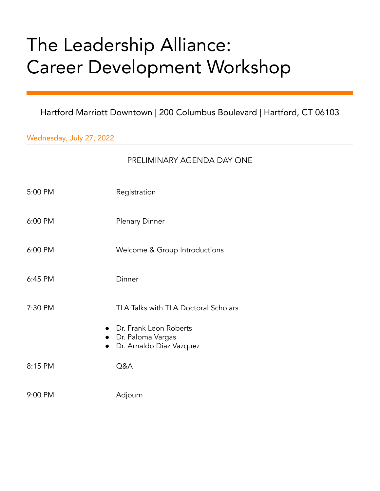## The Leadership Alliance: Career Development Workshop

Hartford Marriott Downtown | 200 Columbus Boulevard | Hartford, CT 06103

Wednesday, July 27, 2022

| PRELIMINARY AGENDA DAY ONE |  |
|----------------------------|--|
|                            |  |

- 5:00 PM Registration
- 6:00 PM Plenary Dinner
- 6:00 PM Welcome & Group Introductions
- 6:45 PM Dinner
- 7:30 PM TLA Talks with TLA Doctoral Scholars
	- Dr. Frank Leon Roberts
	- Dr. Paloma Vargas
	- Dr. Arnaldo Diaz Vazquez
- 8:15 PM Q&A
- 9:00 PM Adjourn